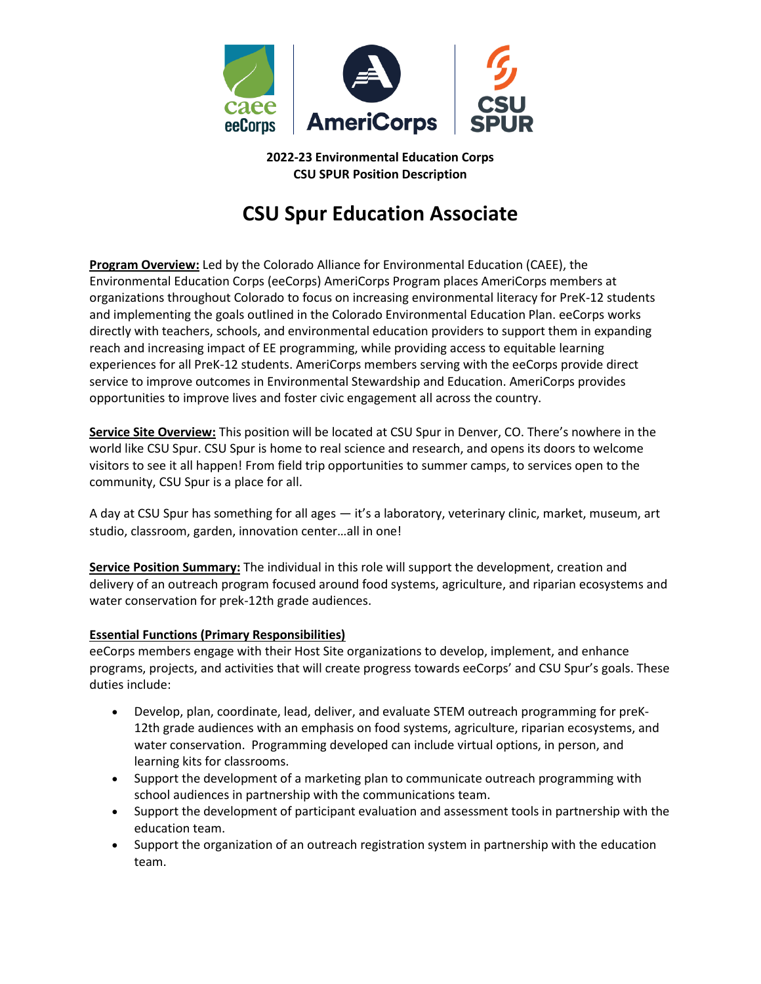

**2022-23 Environmental Education Corps CSU SPUR Position Description**

# **CSU Spur Education Associate**

**Program Overview:** Led by the Colorado Alliance for Environmental Education (CAEE), the Environmental Education Corps (eeCorps) AmeriCorps Program places AmeriCorps members at organizations throughout Colorado to focus on increasing environmental literacy for PreK-12 students and implementing the goals outlined in the Colorado Environmental Education Plan. eeCorps works directly with teachers, schools, and environmental education providers to support them in expanding reach and increasing impact of EE programming, while providing access to equitable learning experiences for all PreK-12 students. AmeriCorps members serving with the eeCorps provide direct service to improve outcomes in Environmental Stewardship and Education. AmeriCorps provides opportunities to improve lives and foster civic engagement all across the country.

**Service Site Overview:** This position will be located at CSU Spur in Denver, CO. There's nowhere in the world like CSU Spur. CSU Spur is home to real science and research, and opens its doors to welcome visitors to see it all happen! From field trip opportunities to summer camps, to services open to the community, CSU Spur is a place for all.

A day at CSU Spur has something for all ages — it's a laboratory, veterinary clinic, market, museum, art studio, classroom, garden, innovation center…all in one!

**Service Position Summary:** The individual in this role will support the development, creation and delivery of an outreach program focused around food systems, agriculture, and riparian ecosystems and water conservation for prek-12th grade audiences.

# **Essential Functions (Primary Responsibilities)**

eeCorps members engage with their Host Site organizations to develop, implement, and enhance programs, projects, and activities that will create progress towards eeCorps' and CSU Spur's goals. These duties include:

- Develop, plan, coordinate, lead, deliver, and evaluate STEM outreach programming for preK-12th grade audiences with an emphasis on food systems, agriculture, riparian ecosystems, and water conservation. Programming developed can include virtual options, in person, and learning kits for classrooms.
- Support the development of a marketing plan to communicate outreach programming with school audiences in partnership with the communications team.
- Support the development of participant evaluation and assessment tools in partnership with the education team.
- Support the organization of an outreach registration system in partnership with the education team.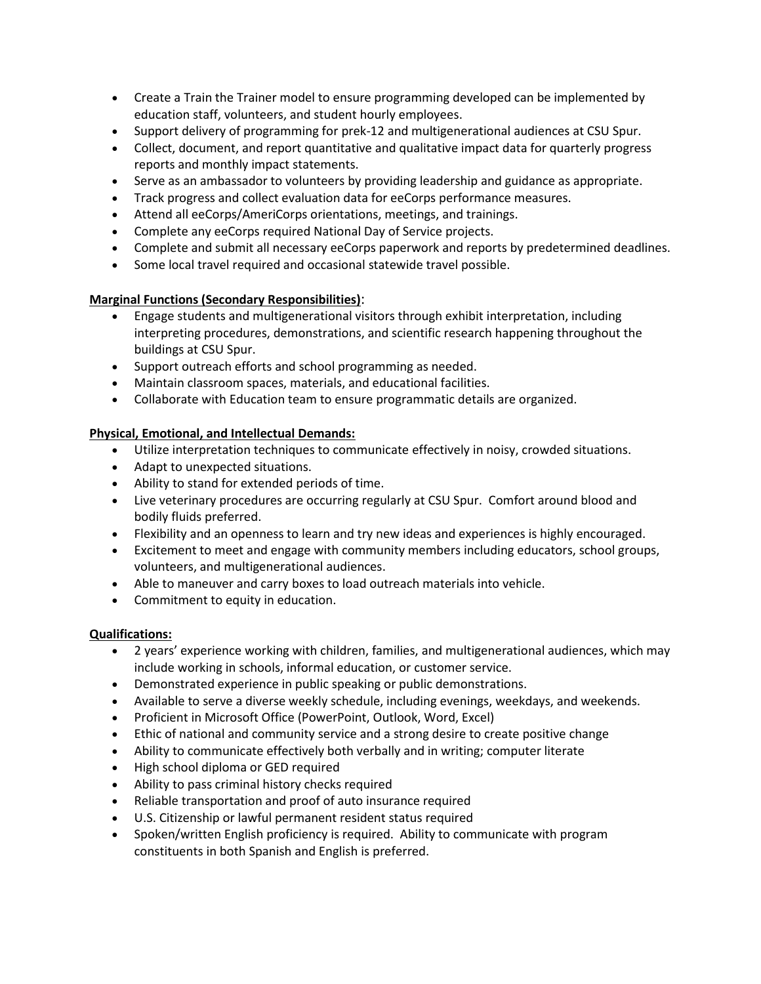- Create a Train the Trainer model to ensure programming developed can be implemented by education staff, volunteers, and student hourly employees.
- Support delivery of programming for prek-12 and multigenerational audiences at CSU Spur.
- Collect, document, and report quantitative and qualitative impact data for quarterly progress reports and monthly impact statements.
- Serve as an ambassador to volunteers by providing leadership and guidance as appropriate.
- Track progress and collect evaluation data for eeCorps performance measures.
- Attend all eeCorps/AmeriCorps orientations, meetings, and trainings.
- Complete any eeCorps required National Day of Service projects.
- Complete and submit all necessary eeCorps paperwork and reports by predetermined deadlines.
- Some local travel required and occasional statewide travel possible.

#### **Marginal Functions (Secondary Responsibilities)**:

- Engage students and multigenerational visitors through exhibit interpretation, including interpreting procedures, demonstrations, and scientific research happening throughout the buildings at CSU Spur.
- Support outreach efforts and school programming as needed.
- Maintain classroom spaces, materials, and educational facilities.
- Collaborate with Education team to ensure programmatic details are organized.

## **Physical, Emotional, and Intellectual Demands:**

- Utilize interpretation techniques to communicate effectively in noisy, crowded situations.
- Adapt to unexpected situations.
- Ability to stand for extended periods of time.
- Live veterinary procedures are occurring regularly at CSU Spur. Comfort around blood and bodily fluids preferred.
- Flexibility and an openness to learn and try new ideas and experiences is highly encouraged.
- Excitement to meet and engage with community members including educators, school groups, volunteers, and multigenerational audiences.
- Able to maneuver and carry boxes to load outreach materials into vehicle.
- Commitment to equity in education.

#### **Qualifications:**

- 2 years' experience working with children, families, and multigenerational audiences, which may include working in schools, informal education, or customer service.
- Demonstrated experience in public speaking or public demonstrations.
- Available to serve a diverse weekly schedule, including evenings, weekdays, and weekends.
- Proficient in Microsoft Office (PowerPoint, Outlook, Word, Excel)
- Ethic of national and community service and a strong desire to create positive change
- Ability to communicate effectively both verbally and in writing; computer literate
- High school diploma or GED required
- Ability to pass criminal history checks required
- Reliable transportation and proof of auto insurance required
- U.S. Citizenship or lawful permanent resident status required
- Spoken/written English proficiency is required. Ability to communicate with program constituents in both Spanish and English is preferred.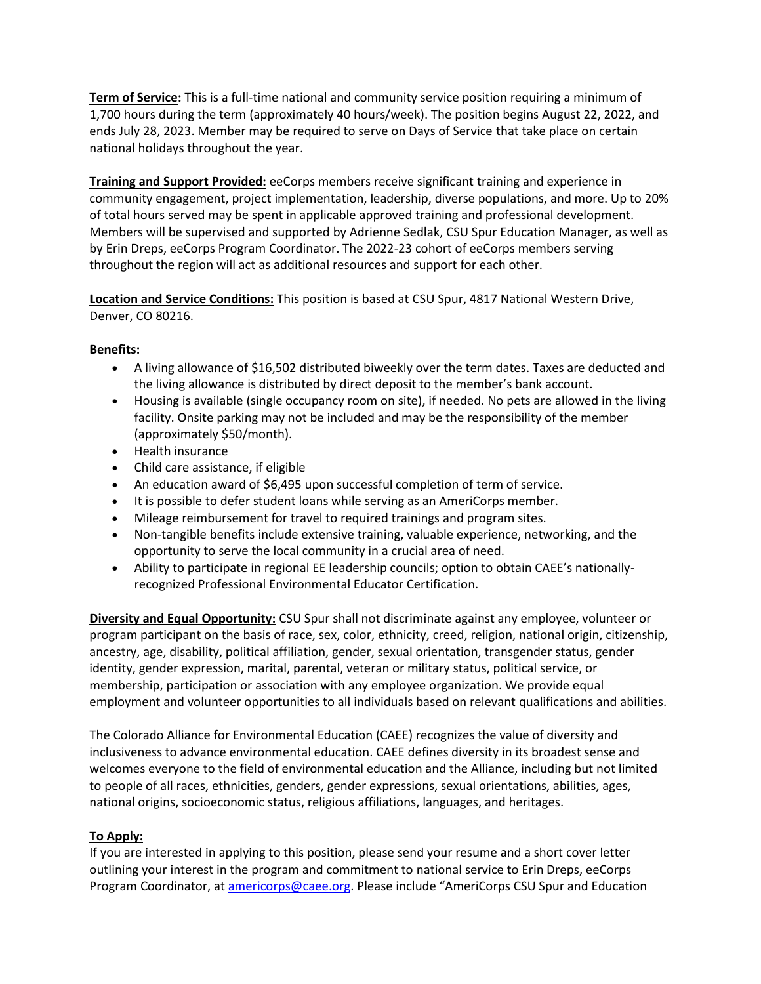**Term of Service:** This is a full-time national and community service position requiring a minimum of 1,700 hours during the term (approximately 40 hours/week). The position begins August 22, 2022, and ends July 28, 2023. Member may be required to serve on Days of Service that take place on certain national holidays throughout the year.

**Training and Support Provided:** eeCorps members receive significant training and experience in community engagement, project implementation, leadership, diverse populations, and more. Up to 20% of total hours served may be spent in applicable approved training and professional development. Members will be supervised and supported by Adrienne Sedlak, CSU Spur Education Manager, as well as by Erin Dreps, eeCorps Program Coordinator. The 2022-23 cohort of eeCorps members serving throughout the region will act as additional resources and support for each other.

**Location and Service Conditions:** This position is based at CSU Spur, 4817 National Western Drive, Denver, CO 80216.

## **Benefits:**

- A living allowance of \$16,502 distributed biweekly over the term dates. Taxes are deducted and the living allowance is distributed by direct deposit to the member's bank account.
- Housing is available (single occupancy room on site), if needed. No pets are allowed in the living facility. Onsite parking may not be included and may be the responsibility of the member (approximately \$50/month).
- Health insurance
- Child care assistance, if eligible
- An education award of \$6,495 upon successful completion of term of service.
- It is possible to defer student loans while serving as an AmeriCorps member.
- Mileage reimbursement for travel to required trainings and program sites.
- Non-tangible benefits include extensive training, valuable experience, networking, and the opportunity to serve the local community in a crucial area of need.
- Ability to participate in regional EE leadership councils; option to obtain CAEE's nationallyrecognized Professional Environmental Educator Certification.

**Diversity and Equal Opportunity:** CSU Spur shall not discriminate against any employee, volunteer or program participant on the basis of race, sex, color, ethnicity, creed, religion, national origin, citizenship, ancestry, age, disability, political affiliation, gender, sexual orientation, transgender status, gender identity, gender expression, marital, parental, veteran or military status, political service, or membership, participation or association with any employee organization. We provide equal employment and volunteer opportunities to all individuals based on relevant qualifications and abilities.

The Colorado Alliance for Environmental Education (CAEE) recognizes the value of diversity and inclusiveness to advance environmental education. CAEE defines diversity in its broadest sense and welcomes everyone to the field of environmental education and the Alliance, including but not limited to people of all races, ethnicities, genders, gender expressions, sexual orientations, abilities, ages, national origins, socioeconomic status, religious affiliations, languages, and heritages.

# **To Apply:**

If you are interested in applying to this position, please send your resume and a short cover letter outlining your interest in the program and commitment to national service to Erin Dreps, eeCorps Program Coordinator, a[t americorps@caee.org](about:blank). Please include "AmeriCorps CSU Spur and Education